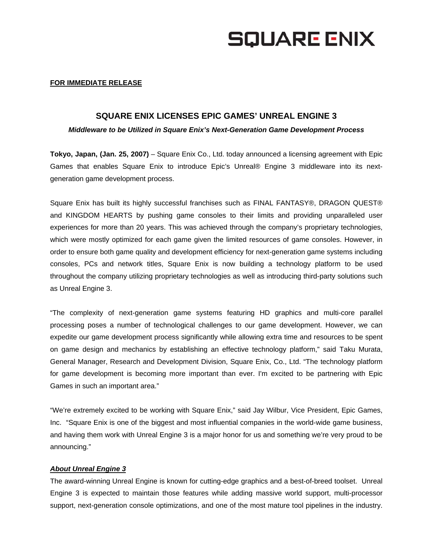# **SQUARE ENIX**

#### **FOR IMMEDIATE RELEASE**

### **SQUARE ENIX LICENSES EPIC GAMES' UNREAL ENGINE 3**

*Middleware to be Utilized in Square Enix's Next-Generation Game Development Process* 

**Tokyo, Japan, (Jan. 25, 2007)** – Square Enix Co., Ltd. today announced a licensing agreement with Epic Games that enables Square Enix to introduce Epic's Unreal® Engine 3 middleware into its nextgeneration game development process.

Square Enix has built its highly successful franchises such as FINAL FANTASY®, DRAGON QUEST® and KINGDOM HEARTS by pushing game consoles to their limits and providing unparalleled user experiences for more than 20 years. This was achieved through the company's proprietary technologies, which were mostly optimized for each game given the limited resources of game consoles. However, in order to ensure both game quality and development efficiency for next-generation game systems including consoles, PCs and network titles, Square Enix is now building a technology platform to be used throughout the company utilizing proprietary technologies as well as introducing third-party solutions such as Unreal Engine 3.

"The complexity of next-generation game systems featuring HD graphics and multi-core parallel processing poses a number of technological challenges to our game development. However, we can expedite our game development process significantly while allowing extra time and resources to be spent on game design and mechanics by establishing an effective technology platform," said Taku Murata, General Manager, Research and Development Division, Square Enix, Co., Ltd. "The technology platform for game development is becoming more important than ever. I'm excited to be partnering with Epic Games in such an important area."

"We're extremely excited to be working with Square Enix," said Jay Wilbur, Vice President, Epic Games, Inc. "Square Enix is one of the biggest and most influential companies in the world-wide game business, and having them work with Unreal Engine 3 is a major honor for us and something we're very proud to be announcing."

#### *About Unreal Engine 3*

The award-winning Unreal Engine is known for cutting-edge graphics and a best-of-breed toolset. Unreal Engine 3 is expected to maintain those features while adding massive world support, multi-processor support, next-generation console optimizations, and one of the most mature tool pipelines in the industry.